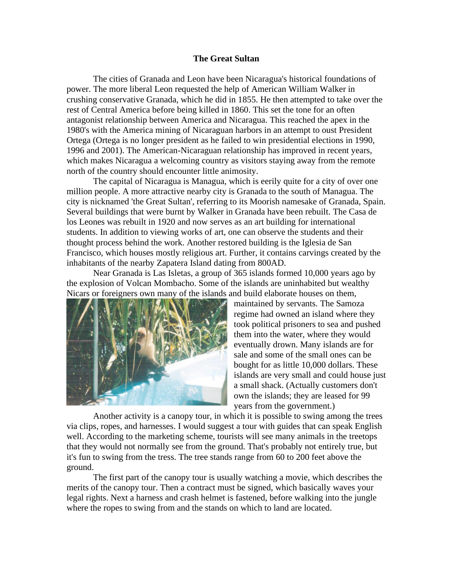## **The Great Sultan**

The cities of Granada and Leon have been Nicaragua's historical foundations of power. The more liberal Leon requested the help of American William Walker in crushing conservative Granada, which he did in 1855. He then attempted to take over the rest of Central America before being killed in 1860. This set the tone for an often antagonist relationship between America and Nicaragua. This reached the apex in the 1980's with the America mining of Nicaraguan harbors in an attempt to oust President Ortega (Ortega is no longer president as he failed to win presidential elections in 1990, 1996 and 2001). The American-Nicaraguan relationship has improved in recent years, which makes Nicaragua a welcoming country as visitors staying away from the remote north of the country should encounter little animosity.

The capital of Nicaragua is Managua, which is eerily quite for a city of over one million people. A more attractive nearby city is Granada to the south of Managua. The city is nicknamed 'the Great Sultan', referring to its Moorish namesake of Granada, Spain. Several buildings that were burnt by Walker in Granada have been rebuilt. The Casa de los Leones was rebuilt in 1920 and now serves as an art building for international students. In addition to viewing works of art, one can observe the students and their thought process behind the work. Another restored building is the Iglesia de San Francisco, which houses mostly religious art. Further, it contains carvings created by the inhabitants of the nearby Zapatera Island dating from 800AD.

Near Granada is Las Isletas, a group of 365 islands formed 10,000 years ago by the explosion of Volcan Mombacho. Some of the islands are uninhabited but wealthy Nicars or foreigners own many of the islands and build elaborate houses on them,



maintained by servants. The Samoza regime had owned an island where they took political prisoners to sea and pushed them into the water, where they would eventually drown. Many islands are for sale and some of the small ones can be bought for as little 10,000 dollars. These islands are very small and could house just a small shack. (Actually customers don't own the islands; they are leased for 99 years from the government.)

Another activity is a canopy tour, in which it is possible to swing among the trees via clips, ropes, and harnesses. I would suggest a tour with guides that can speak English well. According to the marketing scheme, tourists will see many animals in the treetops that they would not normally see from the ground. That's probably not entirely true, but it's fun to swing from the tress. The tree stands range from 60 to 200 feet above the ground.

The first part of the canopy tour is usually watching a movie, which describes the merits of the canopy tour. Then a contract must be signed, which basically waves your legal rights. Next a harness and crash helmet is fastened, before walking into the jungle where the ropes to swing from and the stands on which to land are located.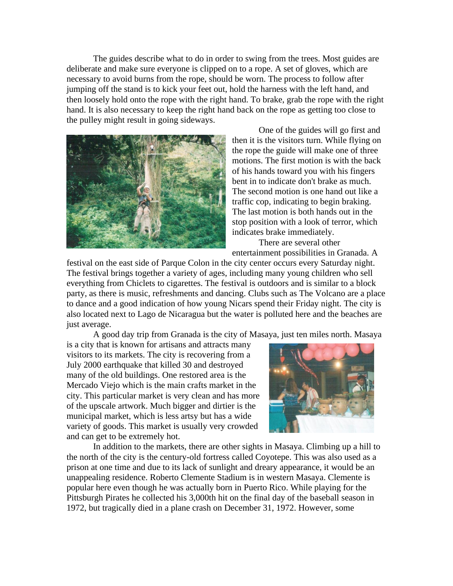The guides describe what to do in order to swing from the trees. Most guides are deliberate and make sure everyone is clipped on to a rope. A set of gloves, which are necessary to avoid burns from the rope, should be worn. The process to follow after jumping off the stand is to kick your feet out, hold the harness with the left hand, and then loosely hold onto the rope with the right hand. To brake, grab the rope with the right hand. It is also necessary to keep the right hand back on the rope as getting too close to the pulley might result in going sideways.



One of the guides will go first and then it is the visitors turn. While flying on the rope the guide will make one of three motions. The first motion is with the back of his hands toward you with his fingers bent in to indicate don't brake as much. The second motion is one hand out like a traffic cop, indicating to begin braking. The last motion is both hands out in the stop position with a look of terror, which indicates brake immediately.

There are several other entertainment possibilities in Granada. A

festival on the east side of Parque Colon in the city center occurs every Saturday night. The festival brings together a variety of ages, including many young children who sell everything from Chiclets to cigarettes. The festival is outdoors and is similar to a block party, as there is music, refreshments and dancing. Clubs such as The Volcano are a place to dance and a good indication of how young Nicars spend their Friday night. The city is also located next to Lago de Nicaragua but the water is polluted here and the beaches are just average.

A good day trip from Granada is the city of Masaya, just ten miles north. Masaya

is a city that is known for artisans and attracts many visitors to its markets. The city is recovering from a July 2000 earthquake that killed 30 and destroyed many of the old buildings. One restored area is the Mercado Viejo which is the main crafts market in the city. This particular market is very clean and has more of the upscale artwork. Much bigger and dirtier is the municipal market, which is less artsy but has a wide variety of goods. This market is usually very crowded and can get to be extremely hot.



In addition to the markets, there are other sights in Masaya. Climbing up a hill to the north of the city is the century-old fortress called Coyotepe. This was also used as a prison at one time and due to its lack of sunlight and dreary appearance, it would be an unappealing residence. Roberto Clemente Stadium is in western Masaya. Clemente is popular here even though he was actually born in Puerto Rico. While playing for the Pittsburgh Pirates he collected his 3,000th hit on the final day of the baseball season in 1972, but tragically died in a plane crash on December 31, 1972. However, some